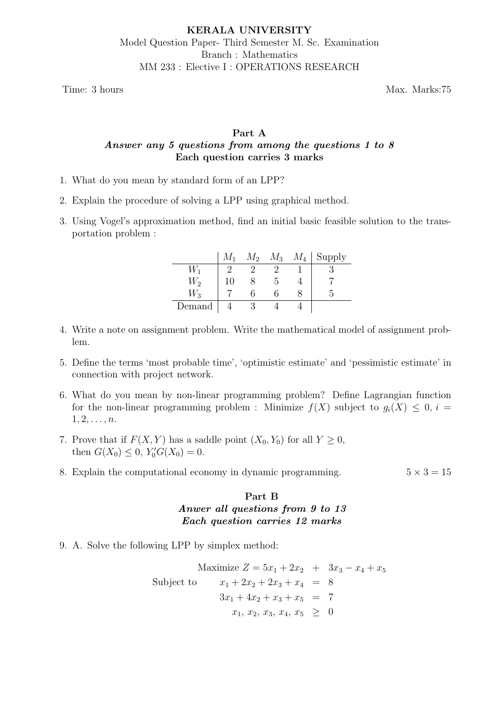Time: 3 hours Max. Marks:75

# Part A Answer any 5 questions from among the questions 1 to 8 Each question carries 3 marks

- 1. What do you mean by standard form of an LPP?
- 2. Explain the procedure of solving a LPP using graphical method.
- 3. Using Vogel's approximation method, find an initial basic feasible solution to the transportation problem :

|             | $M_{1}$ | $M_2$ | $M_3$ | $M_4$ | Supply |
|-------------|---------|-------|-------|-------|--------|
| $W_1$       |         |       |       |       |        |
| $W_2$       | 10      |       |       |       |        |
| $W_{\rm 3}$ |         |       |       |       |        |
| Demand      |         |       |       |       |        |

- 4. Write a note on assignment problem. Write the mathematical model of assignment problem.
- 5. Define the terms 'most probable time', 'optimistic estimate' and 'pessimistic estimate' in connection with project network.
- 6. What do you mean by non-linear programming problem? Define Lagrangian function for the non-linear programming problem : Minimize  $f(X)$  subject to  $g_i(X) \leq 0, i =$  $1, 2, \ldots, n$ .
- 7. Prove that if  $F(X, Y)$  has a saddle point  $(X_0, Y_0)$  for all  $Y \geq 0$ , then  $G(X_0) \leq 0$ ,  $Y'_0 G(X_0) = 0$ .
- 8. Explain the computational economy in dynamic programming.  $5 \times 3 = 15$

# Part B Anwer all questions from 9 to 13 Each question carries 12 marks

9. A. Solve the following LPP by simplex method:

$$
\begin{array}{rcl}\n\text{Maximize } Z & = 5x_1 + 2x_2 + 3x_3 - x_4 + x_5 \\
\text{Subject to } & x_1 + 2x_2 + 2x_3 + x_4 = 8 \\
& 3x_1 + 4x_2 + x_3 + x_5 = 7 \\
& x_1, x_2, x_3, x_4, x_5 \geq 0\n\end{array}
$$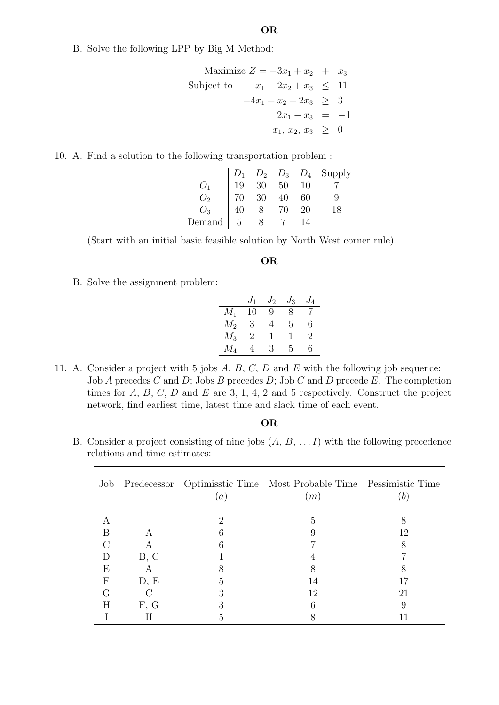B. Solve the following LPP by Big M Method:

Maximize 
$$
Z = -3x_1 + x_2 + x_3
$$
  
\nSubject to  $x_1 - 2x_2 + x_3 \le 11$   
\n $-4x_1 + x_2 + 2x_3 \ge 3$   
\n $2x_1 - x_3 = -1$   
\n $x_1, x_2, x_3 \ge 0$ 

10. A. Find a solution to the following transportation problem :

|                |           |                |                 |     | $D_1$ $D_2$ $D_3$ $D_4$ Supply |
|----------------|-----------|----------------|-----------------|-----|--------------------------------|
|                | 19        | 30             | $\frac{50}{40}$ | -10 |                                |
|                | 70        | $\frac{1}{30}$ |                 |     |                                |
| $\binom{1}{2}$ |           |                | 70              |     | 18                             |
| Demand         | $\vert 5$ |                |                 |     |                                |

(Start with an initial basic feasible solution by North West corner rule).

#### OR

B. Solve the assignment problem:

|         |                | ' 2 | 13 | $I_4$ |
|---------|----------------|-----|----|-------|
| $M_1$   | $\epsilon$     | 9   |    |       |
| $M_2$   | 3              |     | 5  | 6     |
| $\,M_3$ | $\overline{2}$ | ı   |    | 2     |
|         |                | 3   | 5  | հ     |

11. A. Consider a project with 5 jobs  $A, B, C, D$  and  $E$  with the following job sequence: Job A precedes C and D; Jobs B precedes D; Job C and D precede E. The completion times for  $A, B, C, D$  and  $E$  are 3, 1, 4, 2 and 5 respectively. Construct the project network, find earliest time, latest time and slack time of each event.

### OR

B. Consider a project consisting of nine jobs  $(A, B, \ldots I)$  with the following precedence relations and time estimates:

| Job              |                         | $\alpha$ | Predecessor Optimisstic Time Most Probable Time Pessimistic Time<br>(m) | b  |
|------------------|-------------------------|----------|-------------------------------------------------------------------------|----|
|                  |                         |          |                                                                         |    |
|                  |                         | ٠,       | 5                                                                       |    |
| B                | А                       |          |                                                                         | 12 |
|                  | A                       |          |                                                                         |    |
| D                | B, C                    |          |                                                                         |    |
| E                | $\overline{\mathsf{A}}$ |          |                                                                         |    |
| $\boldsymbol{F}$ | D, E                    | G        | 14                                                                      |    |
| G                |                         |          | 12                                                                      | 21 |
| Η                | F, G                    |          |                                                                         |    |
|                  |                         |          |                                                                         |    |